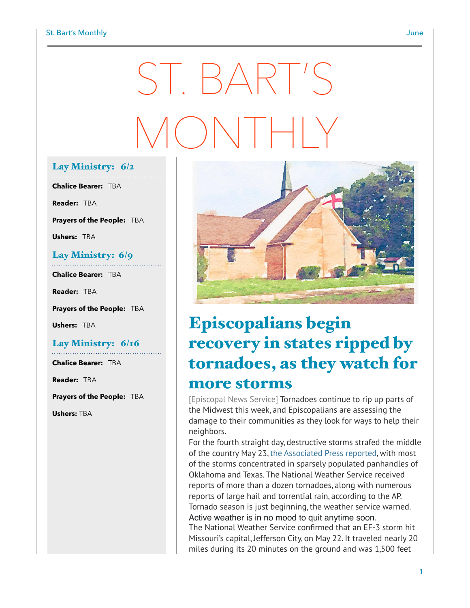# ST. BART'S MONTHLY

#### Lay Ministry: 6/2

**Chalice Bearer:** TBA

**Reader:** TBA

**Prayers of the People:** TBA

**Ushers:** TBA

#### Lay Ministry: 6/9

**Chalice Bearer:** TBA

**Reader:** TBA

**Prayers of the People:** TBA

**Ushers:** TBA

#### Lay Ministry: 6/16

**Chalice Bearer:** TBA

**Reader:** TBA

**Prayers of the People:** TBA

**Ushers:** TBA



### Episcopalians begin recovery in states ripped by tornadoes, as they watch for more storms

[Episcopal News Service] Tornadoes continue to rip up parts of the Midwest this week, and Episcopalians are assessing the damage to their communities as they look for ways to help their neighbors.

For the fourth straight day, destructive storms strafed the middle of the country May 23, [the Associated Press reported,](https://www.apnews.com/ab80f2f469584ac4b21da3f7ebc4e5fb) with most of the storms concentrated in sparsely populated panhandles of Oklahoma and Texas. The National Weather Service received reports of more than a dozen tornadoes, along with numerous reports of large hail and torrential rain, according to the AP. Tornado season is just beginning, the weather service warned. Active weather is in no mood to quit anytime soon. The National Weather Service confirmed that an EF-3 storm hit Missouri's capital, Jefferson City, on May 22. It traveled nearly 20 miles during its 20 minutes on the ground and was 1,500 feet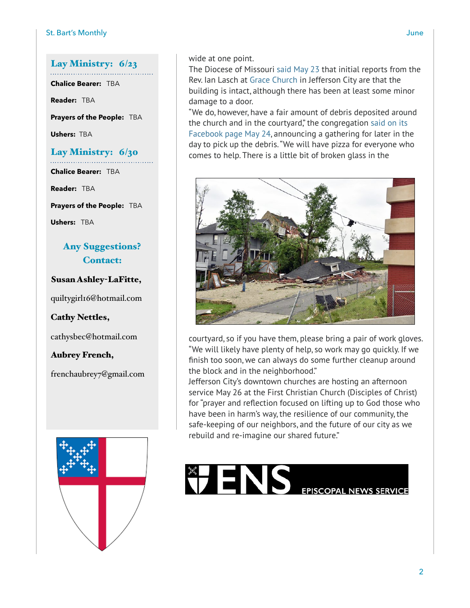#### Lay Ministry: 6/23

**Chalice Bearer:** TBA

**Reader:** TBA

**Prayers of the People:** TBA

**Ushers:** TBA

#### Lay Ministry: 6/30

**Chalice Bearer:** TBA

**Reader:** TBA

**Prayers of the People:** TBA

**Ushers:** TBA

#### Any Suggestions? Contact:

Susan Ashley-LaFitte,

[quiltygirl16@hotmail.com](mailto:quiltygirl16@hotmail.com)

Cathy Nettles,

[cathysbec@hotmail.com](mailto:cathysbec@hotmail.com)

Aubrey French,

frenchaubrey7@gmail.com



wide at one point.

The Diocese of Missouri [said May 23](https://www.diocesemo.org/news/2019/05/23/week-iseek-may-23-2019?fbclid=IwAR1gvkvuP6C-rxbuia2-b1xJwVoEEtFK1BF01VzSM3_ZEL5yddIPyfH5PfI) that initial reports from the Rev. Ian Lasch at [Grace Church](https://www.gracechurchjc.org/) in Jefferson City are that the building is intact, although there has been at least some minor damage to a door.

"We do, however, have a fair amount of debris deposited around the church and in the courtyard," the congregation [said on its](https://www.facebook.com/events/314111789530697/)  [Facebook page May 24,](https://www.facebook.com/events/314111789530697/) announcing a gathering for later in the day to pick up the debris. "We will have pizza for everyone who comes to help. There is a little bit of broken glass in the



courtyard, so if you have them, please bring a pair of work gloves. "We will likely have plenty of help, so work may go quickly. If we finish too soon, we can always do some further cleanup around the block and in the neighborhood."

Jefferson City's downtown churches are hosting an afternoon service May 26 at the First Christian Church (Disciples of Christ) for "prayer and reflection focused on lifting up to God those who have been in harm's way, the resilience of our community, the safe-keeping of our neighbors, and the future of our city as we rebuild and re-imagine our shared future."

## **EPISCOPAL NEWS SERVICE**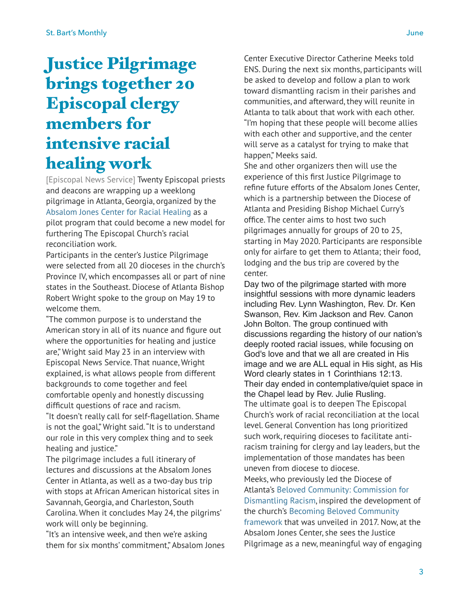### Justice Pilgrimage brings together 20 Episcopal clergy members for intensive racial healing work

[Episcopal News Service] Twenty Episcopal priests and deacons are wrapping up a weeklong pilgrimage in Atlanta, Georgia, organized by the [Absalom Jones Center for Racial Healing](https://www.centerforracialhealing.org/) as a pilot program that could become a new model for furthering The Episcopal Church's racial reconciliation work.

Participants in the center's Justice Pilgrimage were selected from all 20 dioceses in the church's Province IV, which encompasses all or part of nine states in the Southeast. Diocese of Atlanta Bishop Robert Wright spoke to the group on May 19 to welcome them.

"The common purpose is to understand the American story in all of its nuance and figure out where the opportunities for healing and justice are," Wright said May 23 in an interview with Episcopal News Service. That nuance, Wright explained, is what allows people from different backgrounds to come together and feel comfortable openly and honestly discussing difficult questions of race and racism.

"It doesn't really call for self-flagellation. Shame is not the goal," Wright said. "It is to understand our role in this very complex thing and to seek healing and justice."

The pilgrimage includes a full itinerary of lectures and discussions at the Absalom Jones Center in Atlanta, as well as a two-day bus trip with stops at African American historical sites in Savannah, Georgia, and Charleston, South Carolina. When it concludes May 24, the pilgrims' work will only be beginning.

"It's an intensive week, and then we're asking them for six months' commitment," Absalom Jones Center Executive Director Catherine Meeks told ENS. During the next six months, participants will be asked to develop and follow a plan to work toward dismantling racism in their parishes and communities, and afterward, they will reunite in Atlanta to talk about that work with each other. "I'm hoping that these people will become allies with each other and supportive, and the center will serve as a catalyst for trying to make that happen," Meeks said.

She and other organizers then will use the experience of this first Justice Pilgrimage to refine future efforts of the Absalom Jones Center, which is a partnership between the Diocese of Atlanta and Presiding Bishop Michael Curry's office. The center aims to host two such pilgrimages annually for groups of 20 to 25, starting in May 2020. Participants are responsible only for airfare to get them to Atlanta; their food, lodging and the bus trip are covered by the center.

Day two of the pilgrimage started with more insightful sessions with more dynamic leaders including Rev. Lynn Washington, Rev. Dr. Ken Swanson, Rev. Kim Jackson and Rev. Canon John Bolton. The group continued with discussions regarding the history of our nation's deeply rooted racial issues, while focusing on God's love and that we all are created in His image and we are ALL equal in His sight, as His Word clearly states in 1 Corinthians 12:13. Their day ended in contemplative/quiet space in the Chapel lead by Rev. Julie Rusling. The ultimate goal is to deepen The Episcopal Church's work of racial reconciliation at the local level. General Convention has long prioritized such work, requiring dioceses to facilitate antiracism training for clergy and lay leaders, but the implementation of those mandates has been uneven from diocese to diocese.

Meeks, who previously led the Diocese of [Atlanta's Beloved Community: Commission for](https://www.episcopalatlanta.org/Dismantling_Racism/)  [Dismantling Racism,](https://www.episcopalatlanta.org/Dismantling_Racism/) inspired the development of the church's [Becoming Beloved Community](https://www.episcopalchurch.org/beloved-community)  [framework](https://www.episcopalchurch.org/beloved-community) that was unveiled in 2017. Now, at the Absalom Jones Center, she sees the Justice Pilgrimage as a new, meaningful way of engaging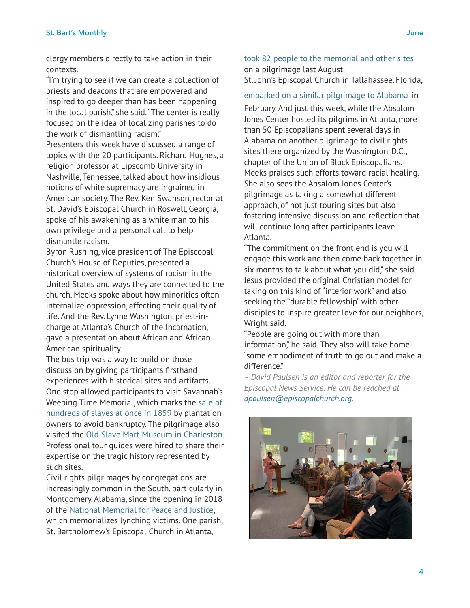clergy members directly to take action in their contexts.

"I'm trying to see if we can create a collection of priests and deacons that are empowered and inspired to go deeper than has been happening in the local parish," she said. "The center is really focused on the idea of localizing parishes to do the work of dismantling racism."

Presenters this week have discussed a range of topics with the 20 participants. Richard Hughes, a religion professor at Lipscomb University in Nashville, Tennessee, talked about how insidious notions of white supremacy are ingrained in American society. The Rev. Ken Swanson, rector at St. David's Episcopal Church in Roswell, Georgia, spoke of his awakening as a white man to his own privilege and a personal call to help dismantle racism.

Byron Rushing, vice president of The Episcopal Church's House of Deputies, presented a historical overview of systems of racism in the United States and ways they are connected to the church. Meeks spoke about how minorities often internalize oppression, affecting their quality of life. And the Rev. Lynne Washington, priest-incharge at Atlanta's Church of the Incarnation, gave a presentation about African and African American spirituality.

The bus trip was a way to build on those discussion by giving participants firsthand experiences with historical sites and artifacts. One stop allowed participants to visit Savannah's Weeping Time Memorial, which marks the [sale of](https://www.ajc.com/news/local/how-the-weeping-time-became-lost-piece-georgia-history/loDnj5RYMAA69iGvLfG2bO/)  [hundreds of slaves at once in 1859](https://www.ajc.com/news/local/how-the-weeping-time-became-lost-piece-georgia-history/loDnj5RYMAA69iGvLfG2bO/) by plantation owners to avoid bankruptcy. The pilgrimage also visited the [Old Slave Mart Museum in Charleston.](http://www.oldslavemartmuseum.com/) Professional tour guides were hired to share their expertise on the tragic history represented by such sites.

Civil rights pilgrimages by congregations are increasingly common in the South, particularly in Montgomery, Alabama, since the opening in 2018 of the [National Memorial for Peace and Justice,](https://museumandmemorial.eji.org/memorial) which memorializes lynching victims. One parish, St. Bartholomew's Episcopal Church in Atlanta,

[took 82 people to the memorial and other sites](https://www.episcopalnewsservice.org/2018/08/29/pilgrimage-to-new-lynching-memorial-fosters-racial-understanding/) on a pilgrimage last August. St. John's Episcopal Church in Tallahassee, Florida,

[embarked on a similar pilgrimage to Alabama](https://www.wctv.tv/content/news/Local-church-returns-from-Civil-Rights-pilgrimage-working-to-bring-monument-to-Tallahassee-506359681.html) in February. And just this week, while the Absalom Jones Center hosted its pilgrims in Atlanta, more than 50 Episcopalians spent several days in Alabama on another pilgrimage to civil rights sites there organized by the Washington, D.C., chapter of the Union of Black Episcopalians. Meeks praises such efforts toward racial healing. She also sees the Absalom Jones Center's pilgrimage as taking a somewhat different approach, of not just touring sites but also fostering intensive discussion and reflection that will continue long after participants leave Atlanta.

"The commitment on the front end is you will engage this work and then come back together in six months to talk about what you did," she said. Jesus provided the original Christian model for taking on this kind of "interior work" and also seeking the "durable fellowship" with other disciples to inspire greater love for our neighbors, Wright said.

"People are going out with more than information," he said. They also will take home "some embodiment of truth to go out and make a difference."

*– David Paulsen is an editor and reporter for the Episcopal News Service. He can be reached at [dpaulsen@episcopalchurch.org.](mailto:dpaulsen@episcopalchurch.org)*